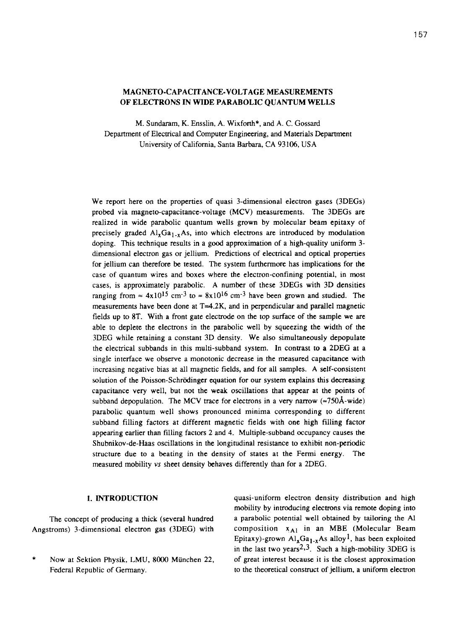# MAGNETO-CAPACITANCE-VOLTAGE MEASUREMENTS OF ELECTRONS **IN WIDE PARABOLIC QUANTUM WELLS**

M. Sundaram, K. Ensslin, A. Wixforth\*, and A. C. Gossard Department of Electrical and Computer Engineering, and Materials Department University of California, Santa Barbara, CA 93106, USA

We report here on the properties of quasi 3-dimensional electron gases (3DEGs) probed via magneto-capacitance-voltage (MCV) measurements. The 3DEGs are realized in wide parabolic quantum wells grown by molecular beam epitaxy of precisely graded  $Al_{x}Ga_{1-x}As$ , into which electrons are introduced by modulation doping. This technique results in a good approximation of a high-quality uniform 3 dimensional electron gas or jellium. Predictions of electrical and optical properties for jellium can therefore be tested. The system furthermore has implications for the case of quantum wires and boxes where the electron-confining potential, in most cases, is approximately parabolic. A number of these 3DEGs with 3D densities ranging from  $\approx 4x10^{15}$  cm<sup>-3</sup> to  $\approx 8x10^{16}$  cm<sup>-3</sup> have been grown and studied. The measurements have been done at T=4.2K, and in perpendicular and parallel magnetic fields up to 8T. With a front gate electrode on the top surface of the sample we are able to deplete the electrons in the parabolic well by squeezing the width of the 3DEG while retaining a constant 3D density. We also simultaneously depopulate the electrical subbands in this multi-subband system. In contrast to a 2DEG at a single interface we observe a monotonic decrease in the measured capacitance with increasing negative bias at all magnetic fields, and for all samples. A self-consistent solution of the Poisson-Schrödinger equation for our system explains this decreasing capacitance very well, but not the weak oscillations that appear at the points of subband depopulation. The MCV trace for electrons in a very narrow  $(\approx 750\text{\AA}-\text{wide})$ parabolic quantum well shows pronounced minima corresponding to different subband filling factors at different magnetic fields with one high filling factor appearing earlier than filling factors 2 and 4. Multiple-subband occupancy causes the Shubnikov-de-Haas oscillations in the longitudinal resistance to exhibit non-periodic structure due to a beating in the density of states at the Fermi energy. The measured mobility vs sheet density behaves differently than for a 2DEG.

### 1. INTRODUCTION

The concept of producing a thick (several hundred Angstroms) 3-dimensional electron gas (3DEG) with

\* Now at Sektion Physik, LMU, 8000 Miinchen 22, Federal Republic of Germany.

quasi-uniform electron density distribution and high mobility by introducing electrons via remote doping into a parabolic potential well obtained by tailoring the Al composition  $x_{A1}$  in an MBE (Molecular Beam Epitaxy)-grown  $\text{Al}_x\text{Ga}_{1-x}\text{As}$  alloy<sup>1</sup>, has been exploited in the last two years<sup>2,3</sup>. Such a high-mobility 3DEG is of great interest because it is the closest approximation to the theoretical construct of jellium, a uniform electron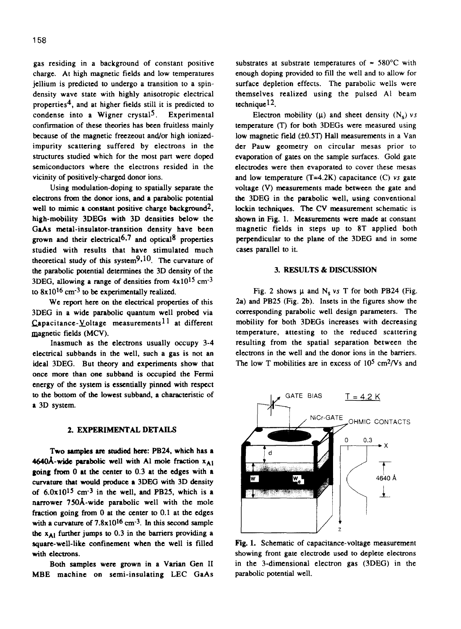gas residing in a background of constant positive charge. At high magnetic fields and low temperatures jellium is predicted to undergo a transition to a spindensity wave state with highly anisotropic electrical properties4, and at higher fields still it is predicted to condense into a Wigner crystal<sup>5</sup>. Experimental confirmation of these theories has been fruitless mainly because of the magnetic freezeout and/or high ionizedimpurity scattering suffered by electrons in the structures studied which for the most part were doped semiconductors where the electrons resided in the vicinity of positively-charged donor ions.

Using modulation-doping to spatially separate the electrons from the donor ions, and a parabolic potential well **to mimic a constant positive charge background2, high-mobility** 3DEGs with 3D densities below the GaAs metal-insulator-transition density have been grown and their electrical<sup>6</sup>,7 and optical<sup>8</sup> properties studied with results that have stimulated much theoretical study of this system $9,10$ . The curvature of the parabolic potential determines the 3D density of the 3DEG, allowing a range of densities from  $4x10^{15}$  cm<sup>-3</sup> to  $8x10^{16}$  cm<sup>-3</sup> to be experimentally realized.

We report here on the electrical properties of this 3DEG in a wide parabolic quantum well probed via  $Capacitance-Yoltage$  measurements<sup>11</sup> at different magnetic fields (MCV).

Inasmuch as the electrons usually occupy 3-4 electrical subbands in the well, such a gas is not an ideal 3DEG. But theory and experiments show that once more than one subband is occupied the Fermi energy of the system is essentially pinned with respect to the bottom of the lowest subband, a characteristic of a 3D system.

# 2. EXPERIMENTAL DETAILS

Two samples are studied here: PB24, which has a 4640Å-wide parabolic well with Al mole fraction  $x_{A1}$ **going from 0 at the center to 0.3 at the edges with a curvature that would produce** a 3DEG with 3D density of  $6.0x10^{15}$  cm<sup>-3</sup> in the well, and PB25, which is a narrower 75OA-wide parabolic well with the mole fraction going from 0 at the center to 0.1 at the edges with a curvature of  $7.8 \times 10^{16}$  cm<sup>-3</sup>. In this second sample the  $x_{A1}$  further jumps to 0.3 in the barriers providing a square-well-like confinement when the well is filled with electrons.

Both samples were grown in a Varian Gen II MBE machine on semi-insulating LEC GaAs

substrates at substrate temperatures of  $\approx 580^{\circ}$ C with enough doping provided to fill the well and to allow for surface depletion effects. The parabolic wells were themselves realized using the pulsed Al beam technique  $12$ .

Electron mobility ( $\mu$ ) and sheet density ( $N_s$ ) vs temperature (T) for both 3DEGs were measured using low magnetic field  $(±0.5T)$  Hall measurements in a Van der Pauw geometry on circular mesas prior to evaporation of gates on the sample surfaces. Gold gate electrodes were then evaporated to cover these mesas and low temperature  $(T=4.2K)$  capacitance  $(C)$  vs gate voltage (V) measurements made between the gate and the 3DEG in the parabolic well, using conventional lockin techniques. The CV measurement schematic is shown in Fig. 1. Measurements were made at constant magnetic fields in steps up to 8T applied both perpendicular to the plane of the 3DEG and in some cases parallel to it.

### 3. RESULTS & DISCUSSION

Fig. 2 shows  $\mu$  and N<sub>s</sub> vs T for both PB24 (Fig. 2a) and PB25 (Fig. 2b). Insets in the figures show the corresponding parabolic well design parameters. The mobility for both 3DEGs increases with decreasing temperature, attesting to the reduced scattering resulting from the spatial separation between the electrons in the well and the donor ions in the barriers. The low T mobilities are in excess of  $10^5$  cm<sup>2</sup>/Vs and



**Fig. 1.** Schematic of capacitance-voltage measurement showing front gate electrode used to deplete electrons in the 3-dimensional electron gas (3DEG) in the parabolic potential well.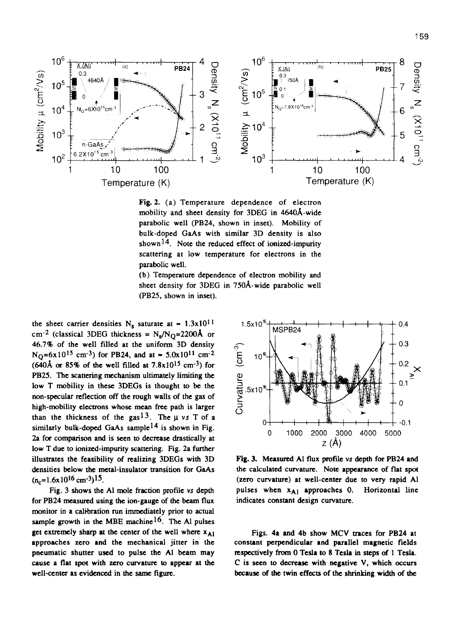

Fig. 2. (a) Temperature dependence of electron mobility and sheet density for 3DEG in 464OA-wide parabolic well (PB24, shown in inset). Mobility of bulk-doped GaAs with similar 3D density is also shown<sup>14</sup>. Note the reduced effect of ionized-impurity scattering at low temperature for electrons in the parabolic well.

(b) Temperature dependence of electron mobility and sheet density for 3DEG in 75OA-wide parabolic well (PB25, shown in inset).

the sheet carrier densities N<sub>s</sub> saturate at  $\approx 1.3 \times 10^{11}$ cm<sup>-2</sup> (classical 3DEG thickness =  $N_s/N_O$ =2200Å or 46.7% of the well filled at the uniform 3D density  $N_{\Omega}$ =6x10<sup>15</sup> cm<sup>-3</sup>) for PB24, and at  $\approx$  5.0x10<sup>11</sup> cm<sup>-2</sup>  $(640\text{\AA} \text{ or } 85\% \text{ of the well filled at } 7.8 \times 10^{15} \text{ cm}^{-3}) \text{ for }$ PB25. The scattering mechanism ultimately limiting the low T mobility in these 3DEGs is thought to be the non-specular reflection off the rough walls of the gas of high-mobility electrons whose mean free path is larger than the thickness of the gas<sup>13</sup>. The  $\mu$  vs T of a similarly bulk-doped GaAs sample<sup>14</sup> is shown in Fig. 2a for comparison and is seen to decrease drastically at low T due to ionized-impurity scattering. Fig. 2a further illustrates the. feasibility of realizing 3DEGs with 3D densities below the metal-insulator transition for GaAs  $(n_c=1.6x10^{16}$  cm<sup>-3</sup>)<sup>15</sup>.

Fig. 3 shows the Al mole fraction profile vs depth for PB24 measured using the ion-gauge of the beam flux monitor in a calibration run immediately prior to actual sample growth in the MBE machine<sup>16</sup>. The Al pulses get extremely sharp at the center of the well where  $x_{A1}$ approaches zero and the mechanical jitter in the pneumatic shutter used to pulse the Al beam may cause a flat spot with zero curvature to appear at the well-center as evidenced in the same figure.



Fig. 3. Measured Al flux profile vs depth for PB24 and the calculated curvature. Note appearance of flat spot (zero curvature) at well-center due to very rapid Al pulses when  $x_{A1}$  approaches 0. Horizontal line indicates constant design curvature.

Figs. 4a and 4b show MCV traces for PB24 at constant perpendicular and parallel magnetic fields respectively from 0 Tesla to 8 Tesla in steps of 1 Tesla. C is seen to decrease with negative V, which occurs because of the twin effects of the shrinking width of the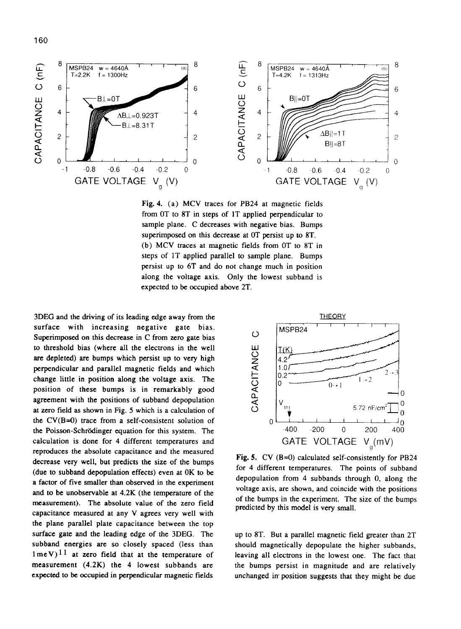

Fig. 4. (a) MCV traces for PB24 at magnetic fields from OT to 8T in steps of 1T applied perpendicular to sample plane. C decreases with negative bias. Bumps superimposed on this decrease at OT persist up to 8T. (b) MCV traces at magnetic fields from OT to 8T in steps of 1T applied parallel to sample plane. Bumps persist up to 6T and do not change much in position along the voltage axis. Only the lowest subband is expected to be occupied above 2T.

3DEG and the driving of its leading edge away from the surface with increasing negative gate bias. Superimposed on this decrease in C from zero gate bias to threshold bias (where all the electrons in the well are depleted) are bumps which persist up to very high perpendicular and parallel magnetic fields and which change little in position along the voltage axis. The position of these bumps is in remarkably good agreement with the positions of subband depopulation at zero field as shown in Fig. 5 which is a calculation of the  $CV(B=0)$  trace from a self-consistent solution of the Poisson-Schrödinger equation for this system. The calculation is done for 4 different temperatures and reproduces the absolute capacitance and the measured decrease very well, but predicts the size of the bumps (due to subband depopulation effects) even at OK to be a factor of five smaller than observed in the experiment and to be unobservable at 4.2K (the temperature of the measurement). The absolute value of the zero field capacitance measured at any V agrees very well with the plane parallel plate capacitance between the top surface gate and the leading edge of the 3DEG. The subband energies are so closely spaced (less than  $1$ meV)<sup>11</sup> at zero field that at the temperature of measurement (4.2K) the 4 lowest subbands are expected to be occupied in perpendicular magnetic fields



**Fig. 5.** CV (B=O) calculated self-consistently for PB24 for 4 different temperatures. The points of subband depopulation from 4 subbands through 0, along the voltage axis, are shown, and coincide with the positions of the bumps in the experiment. The size of the bumps predicted by this model is very small.

up to 8T. But a parallel magnetic field greater than 2T should magnetically depopulate the higher subbands, leaving all electrons in the lowest one. The fact that the bumps persist in magnitude and are relatively unchanged in position suggests that they might be due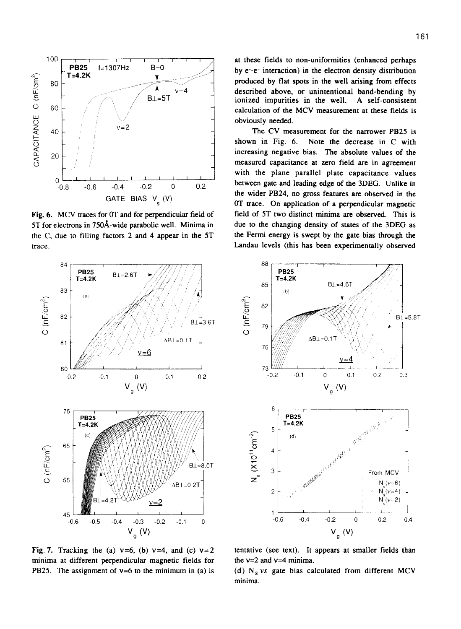

Fig. 6. MCV traces for OT and for perpendicular field of 5T for electrons in 75OA-wide parabolic well. Minima in the C. due to filling factors 2 and 4 appear in the 5T trace.

at these fields to non-uniformities (enhanced perhaps by e-e- interaction) in the electron density distribution produced by flat spots in the well arising from effects described above, or unintentional band-bending by ionized impurities in the well. A self-consistent calculation of the MCV measurement at these fields is obviously needed.

The CV measurement for the narrower PB25 is shown in Fig. 6. Note the decrease in C with increasing negative bias. The absolute values of the measured capacitance at zero field are in agreement with the plane parallel plate capacitance values between gate and leading edge of the 3DEG. Unlike in the wider PB24, no gross features are observed in the OT trace. On application of a perpendicular magnetic field of 5T two distinct minima are observed. This is due to the changing density of states of the 3DEG as the Fermi energy is swept by the gate bias through the Landau levels (this has been experimentally observed



Fig. 7. Tracking the (a)  $v=6$ , (b)  $v=4$ , and (c)  $v=2$ minima at different perpendicular magnetic fields for PB25. The assignment of  $v=6$  to the minimum in (a) is



tentative (see text). It appears at smaller fields than the  $v=2$  and  $v=4$  minima.

(d)  $N_s$  vs gate bias calculated from different MCV minima.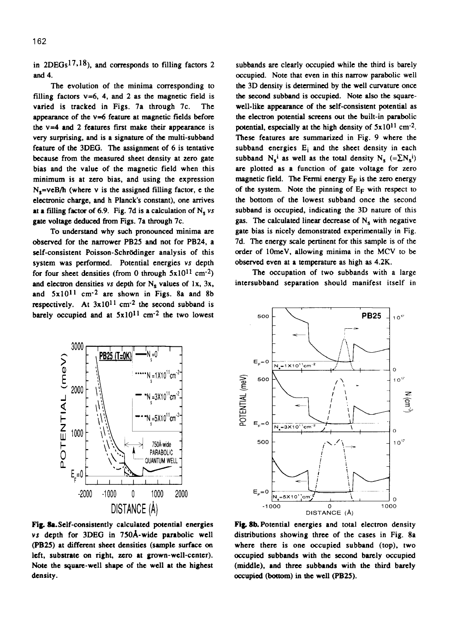in  $2DEGs^{17,18}$ , and corresponds to filling factors 2 and 4.

The evolution of the minima corresponding to filling factors  $v=6$ , 4, and 2 as the magnetic field is varied is tracked in Figs. 7a through 7c. The appearance of the  $v=6$  feature at magnetic fields before the  $v=4$  and 2 features first make their appearance is very surprising, and is a signature of the multi-subband feature of the 3DEG. The assignment of 6 is tentative because from the measured sheet density at zero gate bias and the value of the magnetic field when this minimum is at zero bias, and using the expression  $N_e = veB/h$  (where v is the assigned filling factor, e the electronic charge, and h Planck's constant), one arrives at a filling factor of 6.9. Fig. 7d is a calculation of  $N_e$  vs gate voltage deduced from Figs. 7a through 7c.

To understand why such pronounced minima arc observed for the narrower PB25 and not for PB24, a self-consistent Poisson-Schrödinger analysis of this system was performed. Potential energies vs depth for four sheet densities (from 0 through  $5x10^{11}$  cm<sup>-2</sup>) and electron densities vs depth for  $N_c$  values of 1x, 3x, and 5x1011 cm-2 are shown in Figs. 8a and 8b respectively. At  $3x10^{11}$  cm<sup>-2</sup> the second subband is barely occupied and at  $5x10^{11}$  cm<sup>-2</sup> the two lowest



The occupation of two subbands with a large intersubband separation should manifest itself in



Fig. 8a. Self-consistently calculated potential energies vs depth for 3DEG in 75OA-wide parabolic well (PB25) at different sheet densities (sample surface on left, substrate on right, zero at grown-well-center). Note the square-well shape of the well at the highest density.



**Fig. 8b.** Potential energies and total electron density distributions showing three of the cases in Fig. 8a where there is one occupied subband (top), two occupied subbands with the second barely occupied (middle), and three subbands with the third barely occupied **(bottom) in the well (PB25).**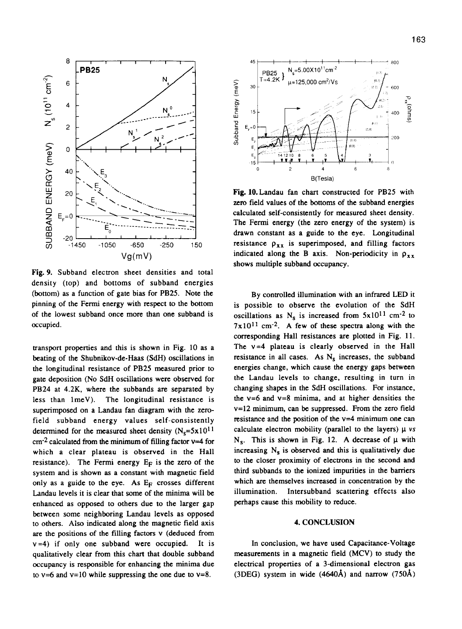

**Fig. 9.** Subband electron sheet densities and total density (top) and bottoms of subband energies (bottom) as a function of gate bias for PB25. Note the pinning of the Fermi energy with respect to the bottom of the lowest subband once more than one subband is occupied.

transport properties and this is shown in Fig. 10 as a beating of the Shubnikov-de-Haas (SdH) oscillations in the longitudinal resistance of PB25 measured prior to gate deposition (No SdH oscillations were observed for PB24 at 4.2K, where the subbands are separated by less than 1meV). The longitudinal resistance is superimposed on a Landau fan diagram with the zerofield subband energy values self-consistently determined for the measured sheet density  $(N_s=5x10^{11}$  $cm<sup>-2</sup>$  calculated from the minimum of filling factor  $\nu=4$  for which a clear plateau is observed in the Hall resistance). The Fermi energy  $E_F$  is the zero of the system and is shown as a constant with magnetic field only as a guide to the eye. As  $E_F$  crosses different Landau levels it is clear that some of the minima will be enhanced as opposed to others due to the larger gap between some neighboring Landau levels as opposed to others. Also indicated along the magnetic field axis are the positions of the filling factors **v** (deduced from  $v=4$ ) if only one subband were occupied. It is qualitatively clear from this chart that double subband occupancy is responsible for enhancing the minima due to  $v=6$  and  $v=10$  while suppressing the one due to  $v=8$ .



**Fig.** lO.Landau fan chart constructed for PB25 with zero field values of the bottoms of the subband energies calculated self-consistently for measured sheet density. The Fermi energy (the zero energy of the system) is drawn constant as a guide to the eye. Longitudinal resistance  $\rho_{xx}$  is superimposed, and filling factors indicated along the B axis. Non-periodicity in  $\rho_{xx}$ shows multiple subband occupancy.

By controlled illumination with an infrared LED it is possible to observe the evolution of the SdH oscillations as  $N_s$  is increased from  $5x10^{11}$  cm<sup>-2</sup> to  $7x10^{11}$  cm<sup>-2</sup>. A few of these spectra along with the corresponding Hall resistances are plotted in Fig. 11. The  $v=4$  plateau is clearly observed in the Hall resistance in all cases. As  $N_s$  increases, the subband energies change, which cause the energy gaps between the Landau levels to change, resulting in turn in changing shapes in the SdH oscillations. For instance, the  $v=6$  and  $v=8$  minima, and at higher densities the v=12 minimum, can be suppressed. From the zero field resistance and the position of the  $v=4$  minimum one can calculate electron mobility (parallel to the layers)  $\mu$  vs  $N_s$ . This is shown in Fig. 12. A decrease of  $\mu$  with increasing  $N_s$  is observed and this is qualitatively due to the closer proximity of electrons in the second and third subbands to the ionized impurities in the barriers which are themselves increased in concentration by the illumination. Intersubband scattering effects also perhaps cause this mobility to reduce.

## 4. **CONCLUSION**

In conclusion, we have used Capacitance-Voltage measurements in a magnetic field (MCV) to study the electrical properties of a 3-dimensional electron gas (3DEG) system in wide  $(4640\text{\AA})$  and narrow (750Å)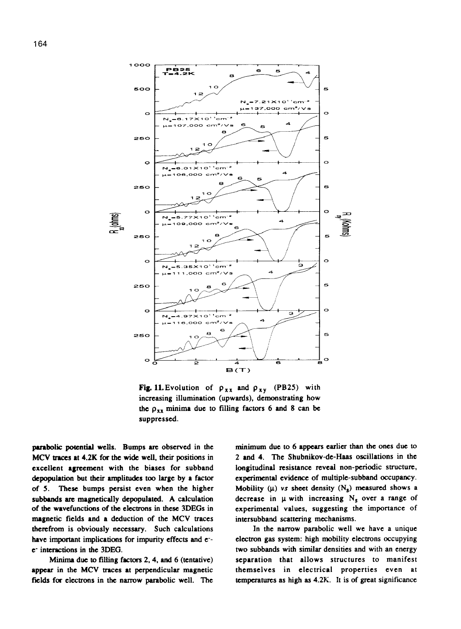



**Fig. 11.** Evolution of  $\rho_{xx}$  and  $\rho_{xy}$  (PB25) with increasing illumination (upwards), demonstrating how the  $\rho_{xx}$  minima due to filling factors 6 and 8 can be suppressed.

parabolic potential wells. Bumps are observed in the MCV traces at 4.2K for the wide well, their positions in excellent agreement with the biases for subband depopulation but their amplitudes too large by a factor of 5. These bumps persist even when the higher subbands arc magnetically depopulated. A calculation of the wavefunctions of the ekctrons in these 3DEGs in magnetic fields and a deduction of the MCV traces therefrom is obviously necessary. Such calculations have important implications for impurity effects and e-c- interactions in the 3DEG.

Minima due to filling factors 2,4, and 6 (tentative) appear in the MCV traces at perpendicular magnetic fields for electrons in the narrow parabolic well. The minimum due to 6 appears earlier than the ones due to 2 and 4. The Shubnikov-de-Haas oscillations in the longitudinal resistance reveal non-periodic structure, experimental evidence of multiple-subband occupancy. Mobility ( $\mu$ ) vs sheet density ( $N_s$ ) measured shows a decrease in  $\mu$  with increasing N<sub>s</sub> over a range of experimental values, suggesting the importance of intcrsubband scattering mechanisms.

In the narrow parabolic well we have a unique electron gas system: high mobility electrons occupying two subbands with similar densities and with an energy separation that allows structures to manifest themselves in electrical properties even at temperatures as high as 4.2K. It is of great significance